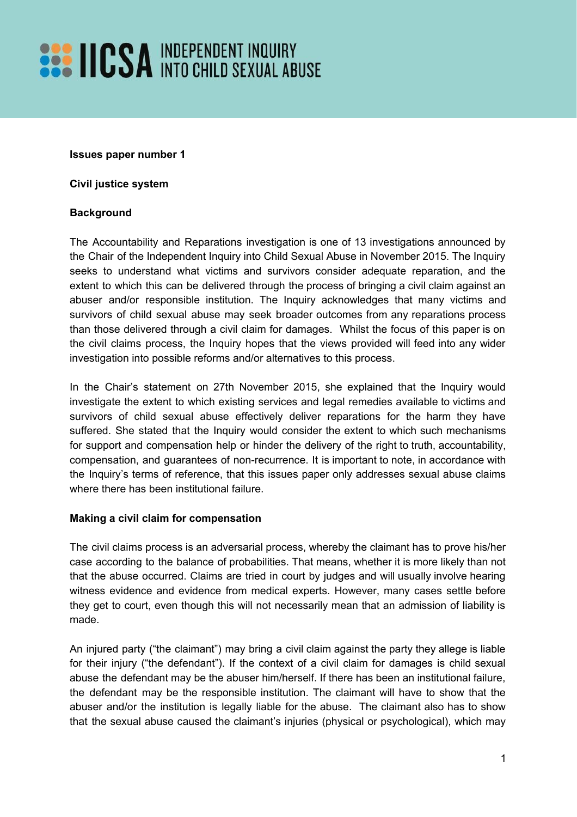**Issues paper number 1**

**Civil justice system**

## **Background**

The Accountability and Reparations investigation is one of 13 investigations announced by the Chair of the Independent Inquiry into Child Sexual Abuse in November 2015. The Inquiry seeks to understand what victims and survivors consider adequate reparation, and the extent to which this can be delivered through the process of bringing a civil claim against an abuser and/or responsible institution. The Inquiry acknowledges that many victims and survivors of child sexual abuse may seek broader outcomes from any reparations process than those delivered through a civil claim for damages. Whilst the focus of this paper is on the civil claims process, the Inquiry hopes that the views provided will feed into any wider investigation into possible reforms and/or alternatives to this process.

In the Chair's statement on 27th November 2015, she explained that the Inquiry would investigate the extent to which existing services and legal remedies available to victims and survivors of child sexual abuse effectively deliver reparations for the harm they have suffered. She stated that the Inquiry would consider the extent to which such mechanisms for support and compensation help or hinder the delivery of the right to truth, accountability, compensation, and guarantees of non-recurrence. It is important to note, in accordance with the Inquiry's terms of reference, that this issues paper only addresses sexual abuse claims where there has been institutional failure.

## **Making a civil claim for compensation**

The civil claims process is an adversarial process, whereby the claimant has to prove his/her case according to the balance of probabilities. That means, whether it is more likely than not that the abuse occurred. Claims are tried in court by judges and will usually involve hearing witness evidence and evidence from medical experts. However, many cases settle before they get to court, even though this will not necessarily mean that an admission of liability is made.

An injured party ("the claimant") may bring a civil claim against the party they allege is liable for their injury ("the defendant"). If the context of a civil claim for damages is child sexual abuse the defendant may be the abuser him/herself. If there has been an institutional failure, the defendant may be the responsible institution. The claimant will have to show that the abuser and/or the institution is legally liable for the abuse. The claimant also has to show that the sexual abuse caused the claimant's injuries (physical or psychological), which may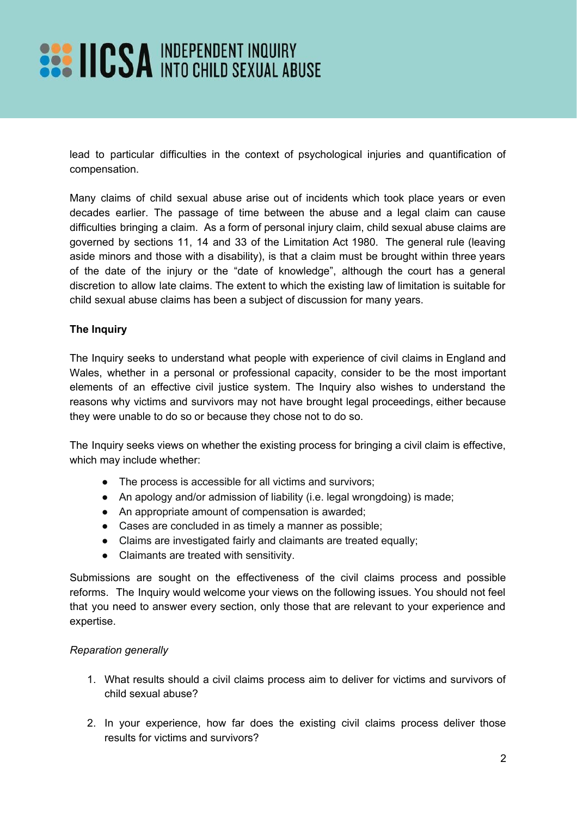lead to particular difficulties in the context of psychological injuries and quantification of compensation.

Many claims of child sexual abuse arise out of incidents which took place years or even decades earlier. The passage of time between the abuse and a legal claim can cause difficulties bringing a claim. As a form of personal injury claim, child sexual abuse claims are governed by sections 11, 14 and 33 of the Limitation Act 1980. The general rule (leaving aside minors and those with a disability), is that a claim must be brought within three years of the date of the injury or the "date of knowledge", although the court has a general discretion to allow late claims. The extent to which the existing law of limitation is suitable for child sexual abuse claims has been a subject of discussion for many years.

## **The Inquiry**

The Inquiry seeks to understand what people with experience of civil claims in England and Wales, whether in a personal or professional capacity, consider to be the most important elements of an effective civil justice system. The Inquiry also wishes to understand the reasons why victims and survivors may not have brought legal proceedings, either because they were unable to do so or because they chose not to do so.

The Inquiry seeks views on whether the existing process for bringing a civil claim is effective, which may include whether:

- The process is accessible for all victims and survivors;
- An apology and/or admission of liability (i.e. legal wrongdoing) is made;
- An appropriate amount of compensation is awarded;
- Cases are concluded in as timely a manner as possible;
- Claims are investigated fairly and claimants are treated equally;
- Claimants are treated with sensitivity.

Submissions are sought on the effectiveness of the civil claims process and possible reforms. The Inquiry would welcome your views on the following issues. You should not feel that you need to answer every section, only those that are relevant to your experience and expertise.

#### *Reparation generally*

- 1. What results should a civil claims process aim to deliver for victims and survivors of child sexual abuse?
- 2. In your experience, how far does the existing civil claims process deliver those results for victims and survivors?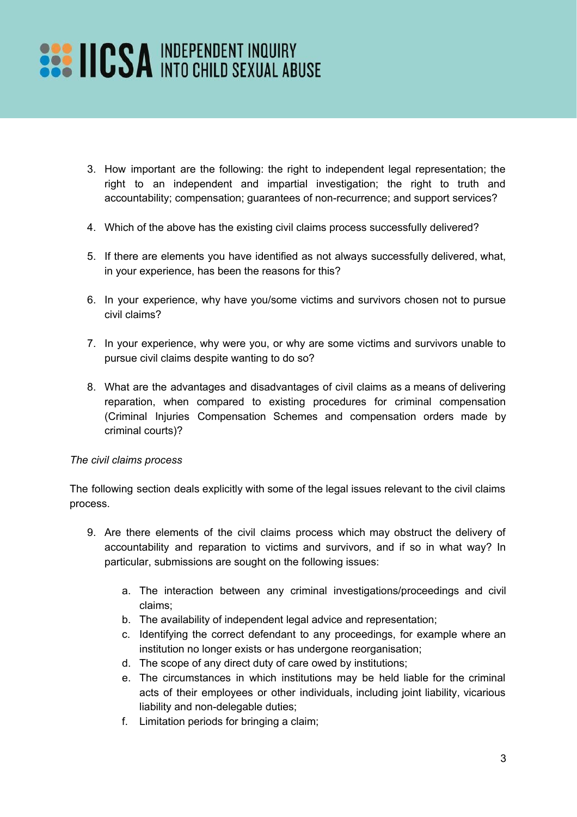- 3. How important are the following: the right to independent legal representation; the right to an independent and impartial investigation; the right to truth and accountability; compensation; guarantees of non-recurrence; and support services?
- 4. Which of the above has the existing civil claims process successfully delivered?
- 5. If there are elements you have identified as not always successfully delivered, what, in your experience, has been the reasons for this?
- 6. In your experience, why have you/some victims and survivors chosen not to pursue civil claims?
- 7. In your experience, why were you, or why are some victims and survivors unable to pursue civil claims despite wanting to do so?
- 8. What are the advantages and disadvantages of civil claims as a means of delivering reparation, when compared to existing procedures for criminal compensation (Criminal Injuries Compensation Schemes and compensation orders made by criminal courts)?

#### *The civil claims process*

The following section deals explicitly with some of the legal issues relevant to the civil claims process.

- 9. Are there elements of the civil claims process which may obstruct the delivery of accountability and reparation to victims and survivors, and if so in what way? In particular, submissions are sought on the following issues:
	- a. The interaction between any criminal investigations/proceedings and civil claims;
	- b. The availability of independent legal advice and representation;
	- c. Identifying the correct defendant to any proceedings, for example where an institution no longer exists or has undergone reorganisation;
	- d. The scope of any direct duty of care owed by institutions;
	- e. The circumstances in which institutions may be held liable for the criminal acts of their employees or other individuals, including joint liability, vicarious liability and non-delegable duties;
	- f. Limitation periods for bringing a claim;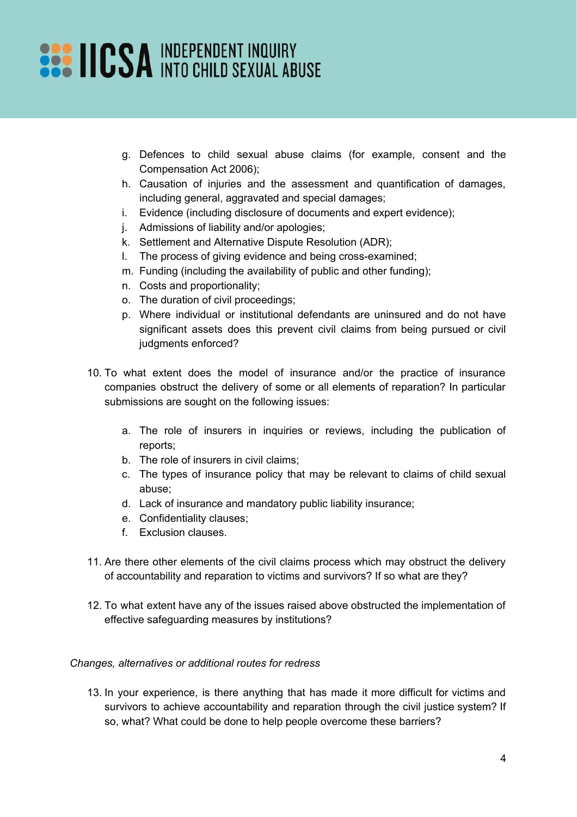- g. Defences to child sexual abuse claims (for example, consent and the Compensation Act 2006);
- h. Causation of injuries and the assessment and quantification of damages, including general, aggravated and special damages;
- i. Evidence (including disclosure of documents and expert evidence);
- j. Admissions of liability and/or apologies;
- k. Settlement and Alternative Dispute Resolution (ADR);
- l. The process of giving evidence and being cross-examined;
- m. Funding (including the availability of public and other funding);
- n. Costs and proportionality;
- o. The duration of civil proceedings;
- p. Where individual or institutional defendants are uninsured and do not have significant assets does this prevent civil claims from being pursued or civil judgments enforced?
- 10. To what extent does the model of insurance and/or the practice of insurance companies obstruct the delivery of some or all elements of reparation? In particular submissions are sought on the following issues:
	- a. The role of insurers in inquiries or reviews, including the publication of reports;
	- b. The role of insurers in civil claims;
	- c. The types of insurance policy that may be relevant to claims of child sexual abuse;
	- d. Lack of insurance and mandatory public liability insurance;
	- e. Confidentiality clauses;
	- f. Exclusion clauses.
- 11. Are there other elements of the civil claims process which may obstruct the delivery of accountability and reparation to victims and survivors? If so what are they?
- 12. To what extent have any of the issues raised above obstructed the implementation of effective safeguarding measures by institutions?

#### *Changes, alternatives or additional routes for redress*

13. In your experience, is there anything that has made it more difficult for victims and survivors to achieve accountability and reparation through the civil justice system? If so, what? What could be done to help people overcome these barriers?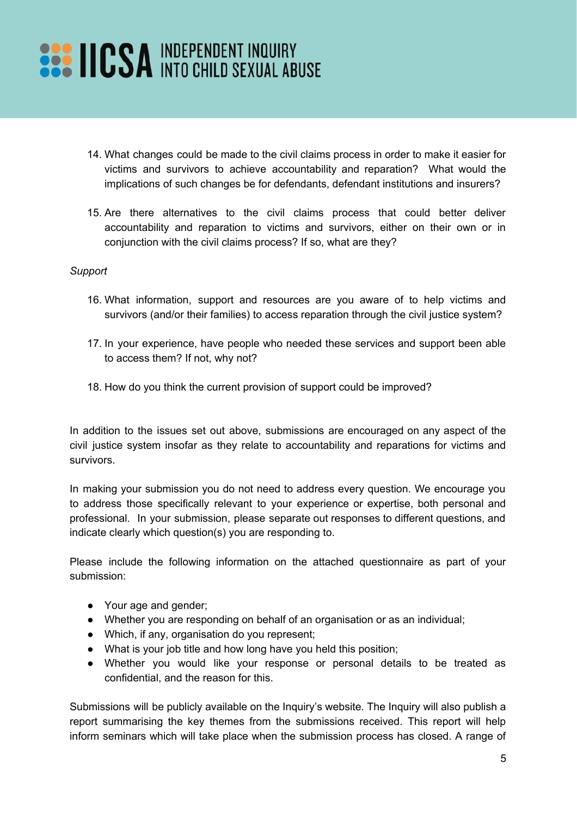## **EXAMPLE PERSONAL INDEPENDENT INQUIRY**

- 14. What changes could be made to the civil claims process in order to make it easier for victims and survivors to achieve accountability and reparation? What would the implications of such changes be for defendants, defendant institutions and insurers?
- 15. Are there alternatives to the civil claims process that could better deliver accountability and reparation to victims and survivors, either on their own or in conjunction with the civil claims process? If so, what are they?

### *Support*

- 16. What information, support and resources are you aware of to help victims and survivors (and/or their families) to access reparation through the civil justice system?
- 17. In your experience, have people who needed these services and support been able to access them? If not, why not?
- 18. How do you think the current provision of support could be improved?

In addition to the issues set out above, submissions are encouraged on any aspect of the civil justice system insofar as they relate to accountability and reparations for victims and survivors.

In making your submission you do not need to address every question. We encourage you to address those specifically relevant to your experience or expertise, both personal and professional. In your submission, please separate out responses to different questions, and indicate clearly which question(s) you are responding to.

Please include the following information on the attached questionnaire as part of your submission:

- Your age and gender;
- Whether you are responding on behalf of an organisation or as an individual;
- Which, if any, organisation do you represent;
- What is your job title and how long have you held this position;
- Whether you would like your response or personal details to be treated as confidential, and the reason for this.

Submissions will be publicly available on the Inquiry's website. The Inquiry will also publish a report summarising the key themes from the submissions received. This report will help inform seminars which will take place when the submission process has closed. A range of